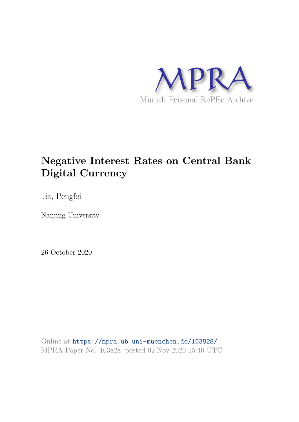

# **Negative Interest Rates on Central Bank Digital Currency**

Jia, Pengfei

Nanjing University

26 October 2020

Online at https://mpra.ub.uni-muenchen.de/103828/ MPRA Paper No. 103828, posted 02 Nov 2020 15:40 UTC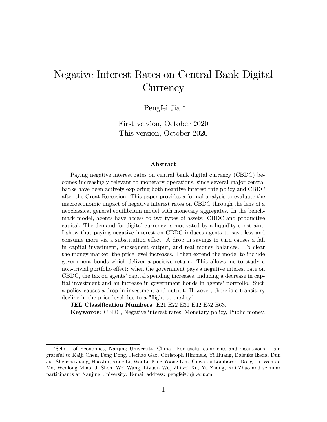# Negative Interest Rates on Central Bank Digital **Currency**

Pengfei Jia

First version, October 2020 This version, October 2020

#### Abstract

Paying negative interest rates on central bank digital currency (CBDC) becomes increasingly relevant to monetary operations, since several major central banks have been actively exploring both negative interest rate policy and CBDC after the Great Recession. This paper provides a formal analysis to evaluate the macroeconomic impact of negative interest rates on CBDC through the lens of a neoclassical general equilibrium model with monetary aggregates. In the benchmark model, agents have access to two types of assets: CBDC and productive capital. The demand for digital currency is motivated by a liquidity constraint. I show that paying negative interest on CBDC induces agents to save less and consume more via a substitution effect. A drop in savings in turn causes a fall in capital investment, subsequent output, and real money balances. To clear the money market, the price level increases. I then extend the model to include government bonds which deliver a positive return. This allows me to study a non-trivial portfolio effect: when the government pays a negative interest rate on CBDC, the tax on agents' capital spending increases, inducing a decrease in capital investment and an increase in government bonds in agents' portfolio. Such a policy causes a drop in investment and output. However, there is a transitory decline in the price level due to a "flight to quality".

JEL Classification Numbers: E21 E22 E31 E42 E52 E63.

Keywords: CBDC, Negative interest rates, Monetary policy, Public money.

School of Economics, Nanjing University, China. For useful comments and discussions, I am grateful to Kaiji Chen, Feng Dong, Jiechao Gao, Christoph Himmels, Yi Huang, Daisuke Ikeda, Dun Jia, Shenzhe Jiang, Hao Jin, Rong Li, Wei Li, King Yoong Lim, Giovanni Lombardo, Dong Lu, Wentao Ma, Wenlong Miao, Ji Shen, Wei Wang, Liyuan Wu, Zhiwei Xu, Yu Zhang, Kai Zhao and seminar participants at Nanjing University. E-mail address: pengfei@nju.edu.cn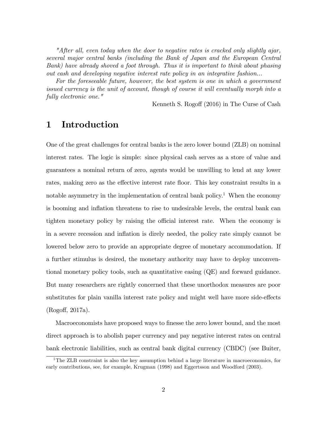"After all, even today when the door to negative rates is cracked only slightly ajar, several major central banks (including the Bank of Japan and the European Central Bank) have already shoved a foot through. Thus it is important to think about phasing out cash and developing negative interest rate policy in an integrative fashion...

For the foreseeable future, however, the best system is one in which a government issued currency is the unit of account, though of course it will eventually morph into a fully electronic one."

Kenneth S. Rogoff (2016) in The Curse of Cash

# 1 Introduction

One of the great challenges for central banks is the zero lower bound (ZLB) on nominal interest rates. The logic is simple: since physical cash serves as a store of value and guarantees a nominal return of zero, agents would be unwilling to lend at any lower rates, making zero as the effective interest rate floor. This key constraint results in a notable asymmetry in the implementation of central bank policy.<sup>1</sup> When the economy is booming and inflation threatens to rise to undesirable levels, the central bank can tighten monetary policy by raising the official interest rate. When the economy is in a severe recession and ináation is direly needed, the policy rate simply cannot be lowered below zero to provide an appropriate degree of monetary accommodation. If a further stimulus is desired, the monetary authority may have to deploy unconventional monetary policy tools, such as quantitative easing (QE) and forward guidance. But many researchers are rightly concerned that these unorthodox measures are poor substitutes for plain vanilla interest rate policy and might well have more side-effects (Rogo§, 2017a).

Macroeconomists have proposed ways to finesse the zero lower bound, and the most direct approach is to abolish paper currency and pay negative interest rates on central bank electronic liabilities, such as central bank digital currency (CBDC) (see Buiter,

<sup>&</sup>lt;sup>1</sup>The ZLB constraint is also the key assumption behind a large literature in macroeconomics, for early contributions, see, for example, Krugman (1998) and Eggertsson and Woodford (2003).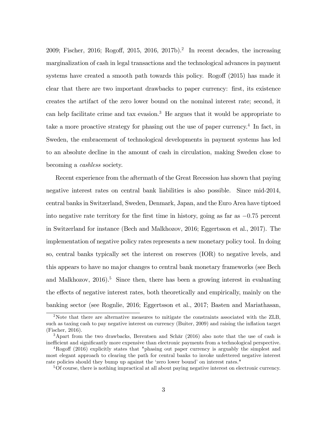2009; Fischer, 2016; Rogoff, 2015, 2016, 2017b).<sup>2</sup> In recent decades, the increasing marginalization of cash in legal transactions and the technological advances in payment systems have created a smooth path towards this policy. Rogoff  $(2015)$  has made it clear that there are two important drawbacks to paper currency: Örst, its existence creates the artifact of the zero lower bound on the nominal interest rate; second, it can help facilitate crime and tax evasion.<sup>3</sup> He argues that it would be appropriate to take a more proactive strategy for phasing out the use of paper currency.<sup>4</sup> In fact, in Sweden, the embracement of technological developments in payment systems has led to an absolute decline in the amount of cash in circulation, making Sweden close to becoming a cashless society.

Recent experience from the aftermath of the Great Recession has shown that paying negative interest rates on central bank liabilities is also possible. Since mid-2014, central banks in Switzerland, Sweden, Denmark, Japan, and the Euro Area have tiptoed into negative rate territory for the first time in history, going as far as  $-0.75$  percent in Switzerland for instance (Bech and Malkhozov, 2016; Eggertsson et al., 2017). The implementation of negative policy rates represents a new monetary policy tool. In doing so, central banks typically set the interest on reserves (IOR) to negative levels, and this appears to have no major changes to central bank monetary frameworks (see Bech and Malkhozov,  $2016$ <sup>5</sup>. Since then, there has been a growing interest in evaluating the effects of negative interest rates, both theoretically and empirically, mainly on the banking sector (see Rognlie, 2016; Eggertsson et al., 2017; Basten and Mariathasan,

<sup>2</sup>Note that there are alternative measures to mitigate the constraints associated with the ZLB, such as taxing cash to pay negative interest on currency (Buiter, 2009) and raising the inflation target (Fischer, 2016).

<sup>&</sup>lt;sup>3</sup>Apart from the two drawbacks, Berentsen and Schär  $(2016)$  also note that the use of cash is inefficient and significantly more expensive than electronic payments from a technological perspective.

 $^{4}$ Rogoff (2016) explicitly states that "phasing out paper currency is arguably the simplest and most elegant approach to clearing the path for central banks to invoke unfettered negative interest rate policies should they bump up against the 'zero lower bound' on interest rates."

<sup>5</sup>Of course, there is nothing impractical at all about paying negative interest on electronic currency.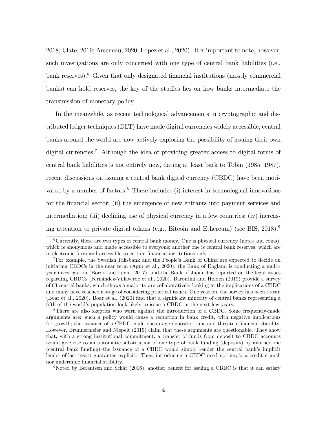2018; Ulate, 2019; Arseneau, 2020; Lopez et al., 2020). It is important to note, however, such investigations are only concerned with one type of central bank liabilities (i.e.,  $\alpha$ bank reserves).<sup>6</sup> Given that only designated financial institutions (mostly commercial banks) can hold reserves, the key of the studies lies on how banks intermediate the transmission of monetary policy.

In the meanwhile, as recent technological advancements in cryptographic and distributed ledger techniques (DLT) have made digital currencies widely accessible, central banks around the world are now actively exploring the possibility of issuing their own digital currencies.<sup>7</sup> Although the idea of providing greater access to digital forms of central bank liabilities is not entirely new, dating at least back to Tobin (1985, 1987), recent discussions on issuing a central bank digital currency (CBDC) have been motivated by a number of factors. $8$  These include: (i) interest in technological innovations for the financial sector; (ii) the emergence of new entrants into payment services and intermediation; (iii) declining use of physical currency in a few countries; (iv) increasing attention to private digital tokens (e.g., Bitcoin and Ethereum) (see BIS, 2018).<sup>9</sup>

<sup>9</sup>Noted by Berentsen and Schär (2016), another benefit for issuing a CBDC is that it can satisfy

 $6$ Currently, there are two types of central bank money. One is physical currency (notes and coins), which is anonymous and made accessible to everyone; another one is central bank reserves, which are in electronic form and accessible to certain financial institutions only.

<sup>&</sup>lt;sup>7</sup>For example, the Swedish Riksbank and the People's Bank of China are expected to decide on initiating CBDCs in the near term (Agur et al., 2020), the Bank of England is conducting a multiyear investigation (Bordo and Levin, 2017), and the Bank of Japan has reported on the legal issues regarding CBDCs (Fernández-Villaverde et al., 2020). Barontini and Holden (2019) provide a survey of 63 central banks, which shows a majority are collaboratively looking at the implications of a CBDC and many have reached a stage of considering practical issues. One year on, the survey has been re-run (Boar et al., 2020). Boar et al. (2020) Önd that a signiÖcant minority of central banks representing a fifth of the world's population look likely to issue a CBDC in the next few years.

<sup>8</sup>There are also skeptics who warn against the introduction of a CBDC. Some frequently-made arguments are: such a policy would cause a reduction in bank credit, with negative implications for growth; the issuance of a CBDC could encourage depositor runs and threaten financial stability. However, Brunnermeier and Niepelt (2019) claim that these arguments are questionable. They show that, with a strong institutional commitment, a transfer of funds from deposit to CBDC accounts would give rise to an automatic substitution of one type of bank funding (deposits) by another one  $(central bank funding)-the issue of a CBDC would simply render the central bank's implicit$ lender-of-last-resort guarantee explicit. Thus, introducing a CBDC need not imply a credit crunch nor undermine financial stability.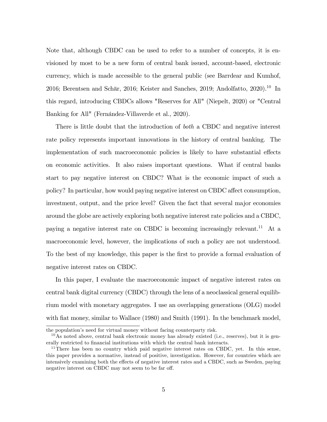Note that, although CBDC can be used to refer to a number of concepts, it is envisioned by most to be a new form of central bank issued, account-based, electronic currency, which is made accessible to the general public (see Barrdear and Kumhof, 2016; Berentsen and Schär, 2016; Keister and Sanches, 2019; Andolfatto, 2020).<sup>10</sup> In this regard, introducing CBDCs allows "Reserves for All" (Niepelt, 2020) or "Central Banking for All" (Fernández-Villaverde et al., 2020).

There is little doubt that the introduction of *both* a CBDC and negative interest rate policy represents important innovations in the history of central banking. The implementation of such macroeconomic policies is likely to have substantial effects on economic activities. It also raises important questions. What if central banks start to pay negative interest on CBDC? What is the economic impact of such a policy? In particular, how would paying negative interest on CBDC affect consumption, investment, output, and the price level? Given the fact that several major economies around the globe are actively exploring both negative interest rate policies and a CBDC, paying a negative interest rate on CBDC is becoming increasingly relevant.<sup>11</sup> At a macroeconomic level, however, the implications of such a policy are not understood. To the best of my knowledge, this paper is the first to provide a formal evaluation of negative interest rates on CBDC.

In this paper, I evaluate the macroeconomic impact of negative interest rates on central bank digital currency (CBDC) through the lens of a neoclassical general equilibrium model with monetary aggregates. I use an overlapping generations (OLG) model with fiat money, similar to Wallace (1980) and Smith (1991). In the benchmark model,

the population's need for virtual money without facing counterparty risk.

 $10$ As noted above, central bank electronic money has already existed (i.e., reserves), but it is generally restricted to financial institutions with which the central bank interacts.

<sup>&</sup>lt;sup>11</sup>There has been no country which paid negative interest rates on CBDC, yet. In this sense, this paper provides a normative, instead of positive, investigation. However, for countries which are intensively examining both the effects of negative interest rates and a CBDC, such as Sweden, paying negative interest on CBDC may not seem to be far off.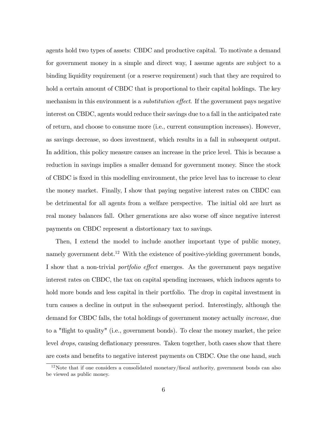agents hold two types of assets: CBDC and productive capital. To motivate a demand for government money in a simple and direct way, I assume agents are subject to a binding liquidity requirement (or a reserve requirement) such that they are required to hold a certain amount of CBDC that is proportional to their capital holdings. The key mechanism in this environment is a *substitution effect*. If the government pays negative interest on CBDC, agents would reduce their savings due to a fall in the anticipated rate of return, and choose to consume more (i.e., current consumption increases). However, as savings decrease, so does investment, which results in a fall in subsequent output. In addition, this policy measure causes an increase in the price level. This is because a reduction in savings implies a smaller demand for government money. Since the stock of CBDC is fixed in this modelling environment, the price level has to increase to clear the money market. Finally, I show that paying negative interest rates on CBDC can be detrimental for all agents from a welfare perspective. The initial old are hurt as real money balances fall. Other generations are also worse off since negative interest payments on CBDC represent a distortionary tax to savings.

Then, I extend the model to include another important type of public money, namely government debt.<sup>12</sup> With the existence of positive-yielding government bonds, I show that a non-trivial *portfolio effect* emerges. As the government pays negative interest rates on CBDC, the tax on capital spending increases, which induces agents to hold more bonds and less capital in their portfolio. The drop in capital investment in turn causes a decline in output in the subsequent period. Interestingly, although the demand for CBDC falls, the total holdings of government money actually increase, due to a "flight to quality" (i.e., government bonds). To clear the money market, the price level *drops*, causing deflationary pressures. Taken together, both cases show that there are costs and benefits to negative interest payments on CBDC. One the one hand, such

 $12$ Note that if one considers a consolidated monetary/fiscal authority, government bonds can also be viewed as public money.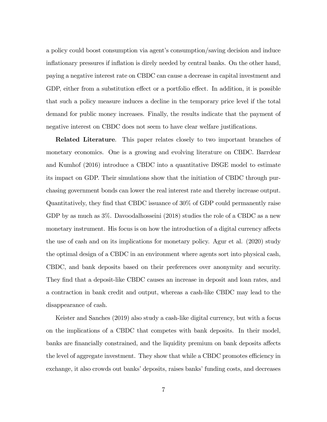a policy could boost consumption via agent's consumption/saving decision and induce inflationary pressures if inflation is direly needed by central banks. On the other hand, paying a negative interest rate on CBDC can cause a decrease in capital investment and GDP, either from a substitution effect or a portfolio effect. In addition, it is possible that such a policy measure induces a decline in the temporary price level if the total demand for public money increases. Finally, the results indicate that the payment of negative interest on CBDC does not seem to have clear welfare justifications.

**Related Literature**. This paper relates closely to two important branches of monetary economics. One is a growing and evolving literature on CBDC. Barrdear and Kumhof (2016) introduce a CBDC into a quantitative DSGE model to estimate its impact on GDP. Their simulations show that the initiation of CBDC through purchasing government bonds can lower the real interest rate and thereby increase output. Quantitatively, they Önd that CBDC issuance of 30% of GDP could permanently raise GDP by as much as  $3\%$ . Davoodalhosseini (2018) studies the role of a CBDC as a new monetary instrument. His focus is on how the introduction of a digital currency affects the use of cash and on its implications for monetary policy. Agur et al. (2020) study the optimal design of a CBDC in an environment where agents sort into physical cash, CBDC, and bank deposits based on their preferences over anonymity and security. They find that a deposit-like CBDC causes an increase in deposit and loan rates, and a contraction in bank credit and output, whereas a cash-like CBDC may lead to the disappearance of cash.

Keister and Sanches (2019) also study a cash-like digital currency, but with a focus on the implications of a CBDC that competes with bank deposits. In their model, banks are financially constrained, and the liquidity premium on bank deposits affects the level of aggregate investment. They show that while a CBDC promotes efficiency in exchange, it also crowds out banks' deposits, raises banks' funding costs, and decreases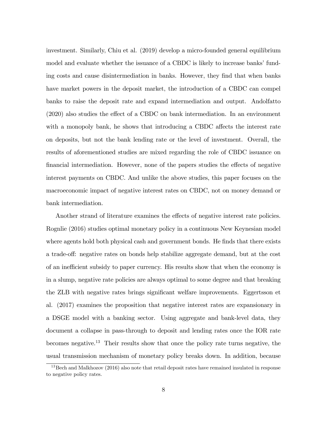investment. Similarly, Chiu et al. (2019) develop a micro-founded general equilibrium model and evaluate whether the issuance of a CBDC is likely to increase banks' funding costs and cause disintermediation in banks. However, they find that when banks have market powers in the deposit market, the introduction of a CBDC can compel banks to raise the deposit rate and expand intermediation and output. Andolfatto  $(2020)$  also studies the effect of a CBDC on bank intermediation. In an environment with a monopoly bank, he shows that introducing a CBDC affects the interest rate on deposits, but not the bank lending rate or the level of investment. Overall, the results of aforementioned studies are mixed regarding the role of CBDC issuance on financial intermediation. However, none of the papers studies the effects of negative interest payments on CBDC. And unlike the above studies, this paper focuses on the macroeconomic impact of negative interest rates on CBDC, not on money demand or bank intermediation.

Another strand of literature examines the effects of negative interest rate policies. Rognlie (2016) studies optimal monetary policy in a continuous New Keynesian model where agents hold both physical cash and government bonds. He finds that there exists a trade-off: negative rates on bonds help stabilize aggregate demand, but at the cost of an inefficient subsidy to paper currency. His results show that when the economy is in a slump, negative rate policies are always optimal to some degree and that breaking the ZLB with negative rates brings significant welfare improvements. Eggertsson et al. (2017) examines the proposition that negative interest rates are expansionary in a DSGE model with a banking sector. Using aggregate and bank-level data, they document a collapse in pass-through to deposit and lending rates once the IOR rate becomes negative.<sup>13</sup> Their results show that once the policy rate turns negative, the usual transmission mechanism of monetary policy breaks down. In addition, because

 $13$ Bech and Malkhozov (2016) also note that retail deposit rates have remained insulated in response to negative policy rates.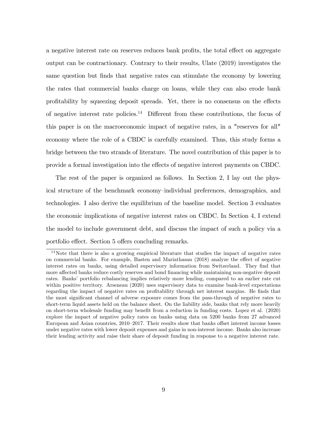a negative interest rate on reserves reduces bank profits, the total effect on aggregate output can be contractionary. Contrary to their results, Ulate (2019) investigates the same question but finds that negative rates can stimulate the economy by lowering the rates that commercial banks charge on loans, while they can also erode bank profitability by squeezing deposit spreads. Yet, there is no consensus on the effects of negative interest rate policies.<sup>14</sup> Different from these contributions, the focus of this paper is on the macroeconomic impact of negative rates, in a "reserves for all" economy where the role of a CBDC is carefully examined. Thus, this study forms a bridge between the two strands of literature. The novel contribution of this paper is to provide a formal investigation into the effects of negative interest payments on CBDC.

The rest of the paper is organized as follows. In Section 2, I lay out the physical structure of the benchmark economy–individual preferences, demographics, and technologies. I also derive the equilibrium of the baseline model. Section 3 evaluates the economic implications of negative interest rates on CBDC. In Section 4, I extend the model to include government debt, and discuss the impact of such a policy via a portfolio effect. Section 5 offers concluding remarks.

<sup>&</sup>lt;sup>14</sup>Note that there is also a growing empirical literature that studies the impact of negative rates on commercial banks. For example, Basten and Mariathasan  $(2018)$  analyze the effect of negative interest rates on banks, using detailed supervisory information from Switzerland. They find that more affected banks reduce costly reserves and bond financing while maintaining non-negative deposit rates. Banks' portfolio rebalancing implies relatively more lending, compared to an earlier rate cut within positive territory. Arseneau (2020) uses supervisory data to examine bank-level expectations regarding the impact of negative rates on profitability through net interest margins. He finds that the most significant channel of adverse exposure comes from the pass-through of negative rates to short-term liquid assets held on the balance sheet. On the liability side, banks that rely more heavily on short-term wholesale funding may benefit from a reduction in funding costs. Lopez et al. (2020) explore the impact of negative policy rates on banks using data on 5200 banks from 27 advanced European and Asian countries, 2010–2017. Their results show that banks offset interest income losses under negative rates with lower deposit expenses and gains in non-interest income. Banks also increase their lending activity and raise their share of deposit funding in response to a negative interest rate.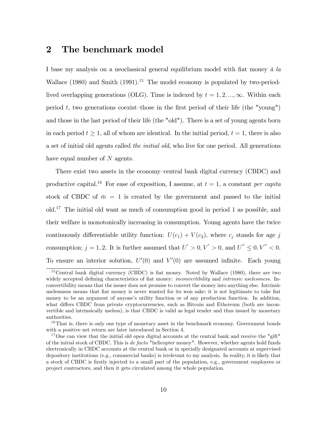## 2 The benchmark model

I base my analysis on a neoclassical general equilibrium model with fiat money  $\dot{a}$  la Wallace  $(1980)$  and Smith  $(1991).<sup>15</sup>$  The model economy is populated by two-periodlived overlapping generations (OLG). Time is indexed by  $t = 1, 2, ..., \infty$ . Within each period t, two generations coexist—those in the first period of their life (the "young") and those in the last period of their life (the "old"). There is a set of young agents born in each period  $t \geq 1$ , all of whom are identical. In the initial period,  $t = 1$ , there is also a set of initial old agents called the initial old, who live for one period. All generations have equal number of N agents.

There exist two assets in the economy–central bank digital currency (CBDC) and productive capital.<sup>16</sup> For ease of exposition, I assume, at  $t = 1$ , a constant *per capita* stock of CBDC of  $\bar{m} = 1$  is created by the government and passed to the initial old.<sup>17</sup> The initial old want as much of consumption good in period 1 as possible, and their welfare is monotonically increasing in consumption. Young agents have the twice continuously differentiable utility function:  $U(c_1) + V(c_2)$ , where  $c_j$  stands for age j consumption;  $j = 1, 2$ . It is further assumed that  $U' > 0, V' > 0$ , and  $U'' \leq 0, V'' < 0$ . To ensure an interior solution,  $U'(0)$  and  $V'(0)$  are assumed infinite. Each young

 $15$ Central bank digital currency (CBDC) is fiat money. Noted by Wallace (1980), there are two widely accepted defining characteristics of fiat money: *inconvertibility* and *intrinsic uselessness*. Inconvertibility means that the issuer does not promise to convert the money into anything else. Intrinsic uselessness means that fiat money is never wanted for its won sake; it is not legitimate to take fiat money to be an argument of anyone's utility function or of any production function. In addition, what differs CBDC from private cryptocurrencies, such as Bitcoin and Ethereum (both are inconvertible and intrinsically useless), is that CBDC is valid as legal tender and thus issued by monetary authorities.

 $16$ That is, there is only one type of monetary asset in the benchmark economy. Government bonds with a positive net return are later introduced in Section 4.

<sup>&</sup>lt;sup>17</sup>One can view that the initial old open digital accounts at the central bank and receive the "gift" of the initial stock of CBDC. This is de facto "helicopter money". However, whether agents hold funds electronically in CBDC accounts at the central bank or in specially designated accounts at supervised depository institutions (e.g., commercial banks) is irrelevant to my analysis. In reality, it is likely that a stock of CBDC is firstly injected to a small part of the population, e.g., government employees or project contractors, and then it gets circulated among the whole population.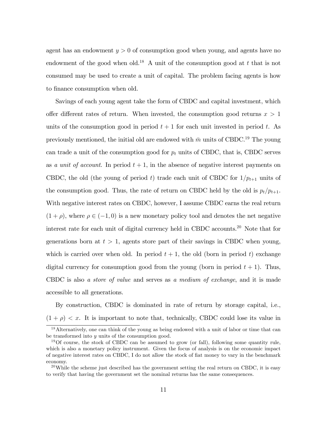agent has an endowment  $y > 0$  of consumption good when young, and agents have no endowment of the good when old.<sup>18</sup> A unit of the consumption good at t that is not consumed may be used to create a unit of capital. The problem facing agents is how to finance consumption when old.

Savings of each young agent take the form of CBDC and capital investment, which offer different rates of return. When invested, the consumption good returns  $x > 1$ units of the consumption good in period  $t + 1$  for each unit invested in period t. As previously mentioned, the initial old are endowed with  $\bar{m}$  units of CBDC.<sup>19</sup> The young can trade a unit of the consumption good for  $p_t$  units of CBDC, that is, CBDC serves as a unit of account. In period  $t + 1$ , in the absence of negative interest payments on CBDC, the old (the young of period t) trade each unit of CBDC for  $1/p_{t+1}$  units of the consumption good. Thus, the rate of return on CBDC held by the old is  $p_t/p_{t+1}$ . With negative interest rates on CBDC, however, I assume CBDC earns the real return  $(1 + \rho)$ , where  $\rho \in (-1, 0)$  is a new monetary policy tool and denotes the net negative interest rate for each unit of digital currency held in CBDC accounts.<sup>20</sup> Note that for generations born at  $t > 1$ , agents store part of their savings in CBDC when young, which is carried over when old. In period  $t + 1$ , the old (born in period t) exchange digital currency for consumption good from the young (born in period  $t + 1$ ). Thus, CBDC is also a store of value and serves as a medium of exchange, and it is made accessible to all generations.

By construction, CBDC is dominated in rate of return by storage capital, i.e.,  $(1 + \rho) < x$ . It is important to note that, technically, CBDC could lose its value in

<sup>18</sup>Alternatively, one can think of the young as being endowed with a unit of labor or time that can be transformed into y units of the consumption good.

<sup>&</sup>lt;sup>19</sup>Of course, the stock of CBDC can be assumed to grow (or fall), following some quantity rule, which is also a monetary policy instrument. Given the focus of analysis is on the economic impact of negative interest rates on CBDC, I do not allow the stock of Öat money to vary in the benchmark economy.

 $^{20}$ While the scheme just described has the government setting the real return on CBDC, it is easy to verify that having the government set the nominal returns has the same consequences.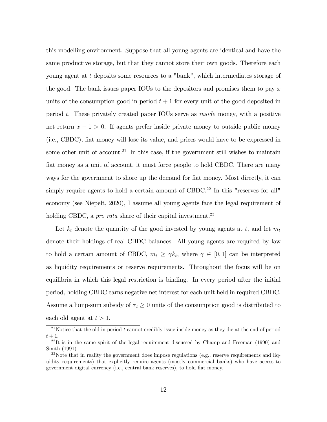this modelling environment. Suppose that all young agents are identical and have the same productive storage, but that they cannot store their own goods. Therefore each young agent at t deposits some resources to a "bank", which intermediates storage of the good. The bank issues paper IOUs to the depositors and promises them to pay  $x$ units of the consumption good in period  $t + 1$  for every unit of the good deposited in period t. These privately created paper IOUs serve as inside money, with a positive net return  $x - 1 > 0$ . If agents prefer inside private money to outside public money (i.e., CBDC), Öat money will lose its value, and prices would have to be expressed in some other unit of account.<sup>21</sup> In this case, if the government still wishes to maintain fiat money as a unit of account, it must force people to hold CBDC. There are many ways for the government to shore up the demand for fiat money. Most directly, it can simply require agents to hold a certain amount of CBDC.<sup>22</sup> In this "reserves for all" economy (see Niepelt, 2020), I assume all young agents face the legal requirement of holding CBDC, a *pro rata* share of their capital investment.<sup>23</sup>

Let  $k_t$  denote the quantity of the good invested by young agents at t, and let  $m_t$ denote their holdings of real CBDC balances. All young agents are required by law to hold a certain amount of CBDC,  $m_t \geq \gamma k_t$ , where  $\gamma \in [0, 1]$  can be interpreted as liquidity requirements or reserve requirements. Throughout the focus will be on equilibria in which this legal restriction is binding. In every period after the initial period, holding CBDC earns negative net interest for each unit held in required CBDC. Assume a lump-sum subsidy of  $\tau_t \geq 0$  units of the consumption good is distributed to each old agent at  $t > 1$ .

<sup>&</sup>lt;sup>21</sup>Notice that the old in period  $t$  cannot credibly issue inside money as they die at the end of period  $t+1$ .

 $^{22}$ It is in the same spirit of the legal requirement discussed by Champ and Freeman (1990) and Smith (1991).

<sup>&</sup>lt;sup>23</sup>Note that in reality the government does impose regulations (e.g., reserve requirements and liquidity requirements) that explicitly require agents (mostly commercial banks) who have access to government digital currency (i.e., central bank reserves), to hold flat money.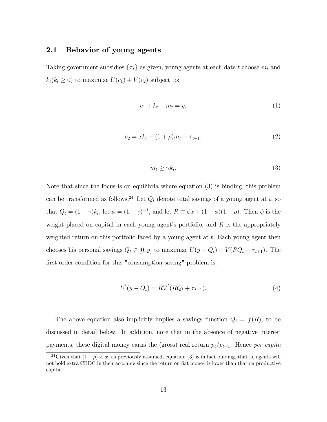## 2.1 Behavior of young agents

Taking government subsidies  $\{\tau_t\}$  as given, young agents at each date t choose  $m_t$  and  $k_t(k_t \geq 0)$  to maximize  $U(c_1) + V(c_2)$  subject to:

$$
c_1 + k_t + m_t = y,\t\t(1)
$$

$$
c_2 = xk_t + (1+\rho)m_t + \tau_{t+1},\tag{2}
$$

$$
m_t \ge \gamma k_t. \tag{3}
$$

Note that since the focus is on equilibria where equation (3) is binding, this problem can be transformed as follows.<sup>24</sup> Let  $Q_t$  denote total savings of a young agent at t, so that  $Q_t = (1 + \gamma)k_t$ , let  $\phi = (1 + \gamma)^{-1}$ , and let  $R \equiv \phi x + (1 - \phi)(1 + \rho)$ . Then  $\phi$  is the weight placed on capital in each young agent's portfolio, and  $R$  is the appropriately weighted return on this portfolio faced by a young agent at  $t$ . Each young agent then chooses his personal savings  $Q_t \in [0, y]$  to maximize  $U(y - Q_t) + V(RQ_t + \tau_{t+1})$ . The first-order condition for this "consumption-saving" problem is:

$$
U'(y - Q_t) = RV'(RQ_t + \tau_{t+1}).
$$
\n(4)

The above equation also implicitly implies a savings function  $Q_t = f(R)$ , to be discussed in detail below. In addition, note that in the absence of negative interest payments, these digital money earns the (gross) real return  $p_t/p_{t+1}$ . Hence per capita

<sup>&</sup>lt;sup>24</sup>Given that  $(1 + \rho) < x$ , as previously assumed, equation (3) is in fact binding, that is, agents will not hold extra CBDC in their accounts since the return on fiat money is lower than that on productive capital.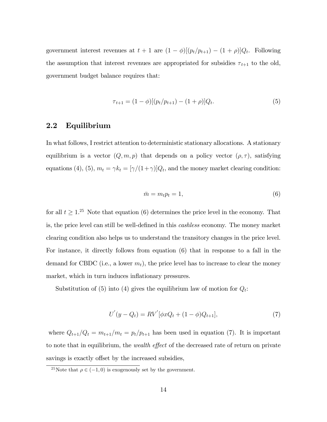government interest revenues at  $t + 1$  are  $(1 - \phi)[(p_t/p_{t+1}) - (1 + \rho)]Q_t$ . Following the assumption that interest revenues are appropriated for subsidies  $\tau_{t+1}$  to the old, government budget balance requires that:

$$
\tau_{t+1} = (1 - \phi)[(p_t/p_{t+1}) - (1 + \rho)]Q_t.
$$
\n(5)

## 2.2 Equilibrium

In what follows, I restrict attention to deterministic stationary allocations. A stationary equilibrium is a vector  $(Q, m, p)$  that depends on a policy vector  $(\rho, \tau)$ , satisfying equations (4), (5),  $m_t = \gamma k_t = [\gamma/(1+\gamma)]Q_t$ , and the money market clearing condition:

$$
\bar{m} = m_t p_t = 1,\t\t(6)
$$

for all  $t \geq 1$ <sup>25</sup> Note that equation (6) determines the price level in the economy. That is, the price level can still be well-defined in this *cashless* economy. The money market clearing condition also helps us to understand the transitory changes in the price level. For instance, it directly follows from equation (6) that in response to a fall in the demand for CBDC (i.e., a lower  $m_t$ ), the price level has to increase to clear the money market, which in turn induces inflationary pressures.

Substitution of (5) into (4) gives the equilibrium law of motion for  $Q_t$ :

$$
U'(y - Q_t) = RV'[\phi x Q_t + (1 - \phi)Q_{t+1}],
$$
\n(7)

where  $Q_{t+1}/Q_t = m_{t+1}/m_t = p_t/p_{t+1}$  has been used in equation (7). It is important to note that in equilibrium, the *wealth effect* of the decreased rate of return on private savings is exactly offset by the increased subsidies,

<sup>&</sup>lt;sup>25</sup>Note that  $\rho \in (-1,0)$  is exogenously set by the government.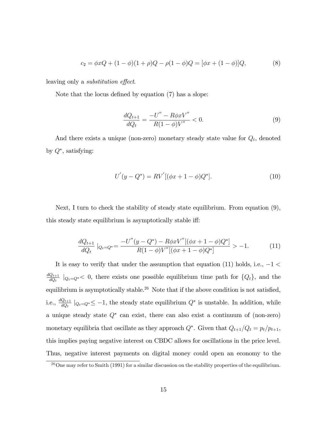$$
c_2 = \phi x Q + (1 - \phi)(1 + \rho)Q - \rho(1 - \phi)Q = [\phi x + (1 - \phi)]Q,
$$
\n(8)

leaving only a *substitution effect*.

Note that the locus defined by equation  $(7)$  has a slope:

$$
\frac{dQ_{t+1}}{dQ_t} = \frac{-U'' - R\phi x V''}{R(1 - \phi)V''} < 0. \tag{9}
$$

And there exists a unique (non-zero) monetary steady state value for  $Q_t$ , denoted by  $Q^*$ , satisfying:

$$
U'(y - Q^*) = RV'[(\phi x + 1 - \phi)Q^*].
$$
\n(10)

Next, I turn to check the stability of steady state equilibrium. From equation (9), this steady state equilibrium is asymptotically stable iff:

$$
\frac{dQ_{t+1}}{dQ_t}|_{Q_t=Q^*} = \frac{-U''(y-Q^*) - R\phi x V''[(\phi x+1-\phi)Q^*]}{R(1-\phi)V''[(\phi x+1-\phi)Q^*]} > -1.
$$
\n(11)

It is easy to verify that under the assumption that equation (11) holds, i.e.,  $-1$  <  $dQ_{t+1}$  $\frac{Q_{t+1}}{dQ_t}$   $|_{Q_t=Q^*}<$  0, there exists one possible equilibrium time path for  $\{Q_t\}$ , and the equilibrium is asymptotically stable.<sup>26</sup> Note that if the above condition is not satisfied, i.e.,  $\frac{dQ_{t+1}}{dQ_t}$   $|_{Q_t=Q^*} \leq -1$ , the steady state equilibrium  $Q^*$  is unstable. In addition, while a unique steady state  $Q^*$  can exist, there can also exist a continuum of (non-zero) monetary equilibria that oscillate as they approach  $Q^*$ . Given that  $Q_{t+1}/Q_t = p_t/p_{t+1}$ , this implies paying negative interest on CBDC allows for oscillations in the price level. Thus, negative interest payments on digital money could open an economy to the

<sup>&</sup>lt;sup>26</sup>One may refer to Smith (1991) for a similar discussion on the stability properties of the equilibrium.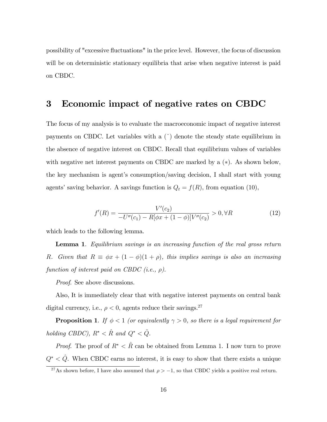possibility of "excessive áuctuations" in the price level. However, the focus of discussion will be on deterministic stationary equilibria that arise when negative interest is paid on CBDC.

## 3 Economic impact of negative rates on CBDC

The focus of my analysis is to evaluate the macroeconomic impact of negative interest payments on CBDC. Let variables with a  $(^{\circ})$  denote the steady state equilibrium in the absence of negative interest on CBDC. Recall that equilibrium values of variables with negative net interest payments on CBDC are marked by a  $(*)$ . As shown below, the key mechanism is agent's consumption/saving decision, I shall start with young agents' saving behavior. A savings function is  $Q_t = f(R)$ , from equation (10),

$$
f'(R) = \frac{V'(c_2)}{-U''(c_1) - R[\phi x + (1 - \phi)]V''(c_2)} > 0, \forall R
$$
\n(12)

which leads to the following lemma.

Lemma 1. Equilibrium savings is an increasing function of the real gross return R. Given that  $R \equiv \phi x + (1 - \phi)(1 + \rho)$ , this implies savings is also an increasing function of interest paid on CBDC (i.e.,  $\rho$ ).

*Proof.* See above discussions.

Also, It is immediately clear that with negative interest payments on central bank digital currency, i.e.,  $\rho < 0,$  agents reduce their savings.<sup>27</sup>

**Proposition 1**. If  $\phi < 1$  (or equivalently  $\gamma > 0$ , so there is a legal requirement for holding CBDC),  $R^* < \hat{R}$  and  $Q^* < \hat{Q}$ .

*Proof.* The proof of  $R^* < \hat{R}$  can be obtained from Lemma 1. I now turn to prove  $Q^* < \hat{Q}$ . When CBDC earns no interest, it is easy to show that there exists a unique

<sup>&</sup>lt;sup>27</sup>As shown before, I have also assumed that  $\rho > -1$ , so that CBDC yields a positive real return.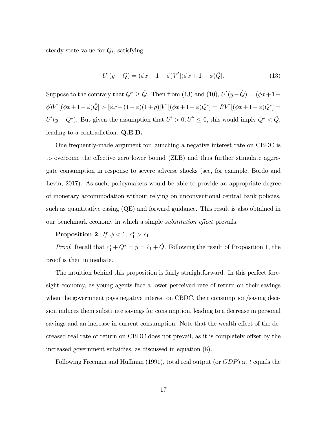steady state value for  $Q_t$ , satisfying:

$$
U'(y - \hat{Q}) = (\phi x + 1 - \phi)V'[(\phi x + 1 - \phi)\hat{Q}].
$$
\n(13)

Suppose to the contrary that  $Q^* \geq \hat{Q}$ . Then from (13) and (10),  $U'(y - \hat{Q}) = (\phi x + 1 - \hat{Q})$  $\phi$ )V' $[(\phi x + 1 - \phi)\hat{Q}] > [\phi x + (1 - \phi)(1 + \rho)]V'[(\phi x + 1 - \phi)Q^*] = RV'[(\phi x + 1 - \phi)Q^*] =$  $U'(y - Q^*)$ . But given the assumption that  $U' > 0, U'' \leq 0$ , this would imply  $Q^* < \hat{Q}$ , leading to a contradiction. Q.E.D.

One frequently-made argument for launching a negative interest rate on CBDC is to overcome the effective zero lower bound (ZLB) and thus further stimulate aggregate consumption in response to severe adverse shocks (see, for example, Bordo and Levin, 2017). As such, policymakers would be able to provide an appropriate degree of monetary accommodation without relying on unconventional central bank policies, such as quantitative easing (QE) and forward guidance. This result is also obtained in our benchmark economy in which a simple *substitution effect* prevails.

Proposition 2. If  $\phi < 1$ ,  $c_1^* > \hat{c}_1$ .

*Proof.* Recall that  $c_1^* + Q^* = y = \hat{c}_1 + \hat{Q}$ . Following the result of Proposition 1, the proof is then immediate.

The intuition behind this proposition is fairly straightforward. In this perfect foresight economy, as young agents face a lower perceived rate of return on their savings when the government pays negative interest on CBDC, their consumption/saving decision induces them substitute savings for consumption, leading to a decrease in personal savings and an increase in current consumption. Note that the wealth effect of the decreased real rate of return on CBDC does not prevail, as it is completely offset by the increased government subsidies, as discussed in equation (8).

Following Freeman and Huffman (1991), total real output (or  $GDP$ ) at t equals the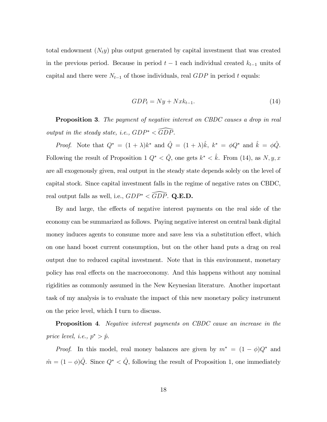total endowment  $(N_t y)$  plus output generated by capital investment that was created in the previous period. Because in period  $t-1$  each individual created  $k_{t-1}$  units of capital and there were  $N_{t-1}$  of those individuals, real  $GDP$  in period t equals:

$$
GDP_t = Ny + Nxk_{t-1}.\tag{14}
$$

**Proposition 3.** The payment of negative interest on CBDC causes a drop in real output in the steady state, i.e.,  $GDP^* \leq \widehat{GDP}$ .

*Proof.* Note that  $Q^* = (1 + \lambda)k^*$  and  $\hat{Q} = (1 + \lambda)\hat{k}$ ,  $k^* = \phi Q^*$  and  $\hat{k} = \phi \hat{Q}$ . Following the result of Proposition 1  $Q^* < \hat{Q}$ , one gets  $k^* < \hat{k}$ . From (14), as  $N, y, x$ are all exogenously given, real output in the steady state depends solely on the level of capital stock. Since capital investment falls in the regime of negative rates on CBDC, real output falls as well, i.e.,  $GDP^* < \widehat{GDP}$ . Q.E.D.

By and large, the effects of negative interest payments on the real side of the economy can be summarized as follows. Paying negative interest on central bank digital money induces agents to consume more and save less via a substitution effect, which on one hand boost current consumption, but on the other hand puts a drag on real output due to reduced capital investment. Note that in this environment, monetary policy has real effects on the macroeconomy. And this happens without any nominal rigidities as commonly assumed in the New Keynesian literature. Another important task of my analysis is to evaluate the impact of this new monetary policy instrument on the price level, which I turn to discuss.

**Proposition 4.** Negative interest payments on CBDC cause an increase in the price level, i.e.,  $p^* > \hat{p}$ .

*Proof.* In this model, real money balances are given by  $m^* = (1 - \phi)Q^*$  and  $\hat{m} = (1 - \phi)\hat{Q}$ . Since  $Q^* < \hat{Q}$ , following the result of Proposition 1, one immediately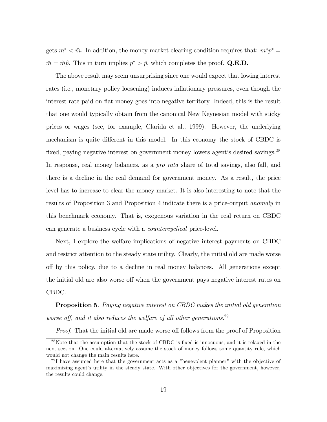gets  $m^* < \hat{m}$ . In addition, the money market clearing condition requires that:  $m^*p^* =$  $m = \hat{m}\hat{p}$ . This in turn implies  $p^* > \hat{p}$ , which completes the proof. Q.E.D.

The above result may seem unsurprising since one would expect that lowing interest rates (i.e., monetary policy loosening) induces inflationary pressures, even though the interest rate paid on flat money goes into negative territory. Indeed, this is the result that one would typically obtain from the canonical New Keynesian model with sticky prices or wages (see, for example, Clarida et al., 1999). However, the underlying mechanism is quite different in this model. In this economy the stock of CBDC is fixed, paying negative interest on government money lowers agent's desired savings.<sup>28</sup> In response, real money balances, as a *pro rata* share of total savings, also fall, and there is a decline in the real demand for government money. As a result, the price level has to increase to clear the money market. It is also interesting to note that the results of Proposition 3 and Proposition 4 indicate there is a price-output anomaly in this benchmark economy. That is, exogenous variation in the real return on CBDC can generate a business cycle with a countercyclical price-level.

Next, I explore the welfare implications of negative interest payments on CBDC and restrict attention to the steady state utility. Clearly, the initial old are made worse o§ by this policy, due to a decline in real money balances. All generations except the initial old are also worse of twhen the government pays negative interest rates on CBDC.

**Proposition 5.** Paying negative interest on CBDC makes the initial old generation worse off, and it also reduces the welfare of all other generations. $^{29}$ 

*Proof.* That the initial old are made worse off follows from the proof of Proposition

 $^{28}$ Note that the assumption that the stock of CBDC is fixed is innocuous, and it is relaxed in the next section. One could alternatively assume the stock of money follows some quantity rule, which would not change the main results here.

 $^{29}$ I have assumed here that the government acts as a "benevolent planner" with the objective of maximizing agent's utility in the steady state. With other objectives for the government, however, the results could change.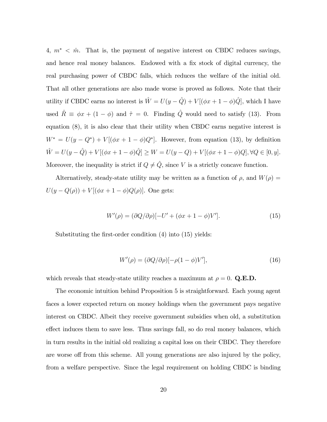4,  $m^*$  <  $\hat{m}$ . That is, the payment of negative interest on CBDC reduces savings, and hence real money balances. Endowed with a fix stock of digital currency, the real purchasing power of CBDC falls, which reduces the welfare of the initial old. That all other generations are also made worse is proved as follows. Note that their utility if CBDC earns no interest is  $\hat{W} = U(y - \hat{Q}) + V [(\phi x + 1 - \phi)\hat{Q}]$ , which I have used  $\hat{R} \equiv \phi x + (1 - \phi)$  and  $\hat{\tau} = 0$ . Finding  $\hat{Q}$  would need to satisfy (13). From equation (8), it is also clear that their utility when CBDC earns negative interest is  $W^* = U(y - Q^*) + V[(\phi x + 1 - \phi)Q^*]$ . However, from equation (13), by definition  $\hat{W} = U(y - \hat{Q}) + V [(\phi x + 1 - \phi)\hat{Q}] \ge W = U(y - Q) + V [(\phi x + 1 - \phi)Q], \forall Q \in [0, y].$ Moreover, the inequality is strict if  $Q \neq \hat{Q}$ , since V is a strictly concave function.

Alternatively, steady-state utility may be written as a function of  $\rho$ , and  $W(\rho)$  =  $U(y - Q(\rho)) + V[(\phi x + 1 - \phi)Q(\rho)].$  One gets:

$$
W'(\rho) = (\partial Q/\partial \rho)[-U' + (\phi x + 1 - \phi)V'].
$$
\n(15)

Substituting the first-order condition (4) into (15) yields:

$$
W'(\rho) = (\partial Q/\partial \rho)[-\rho(1-\phi)V'],\tag{16}
$$

which reveals that steady-state utility reaches a maximum at  $\rho = 0$ . Q.E.D.

The economic intuition behind Proposition 5 is straightforward. Each young agent faces a lower expected return on money holdings when the government pays negative interest on CBDC. Albeit they receive government subsidies when old, a substitution effect induces them to save less. Thus savings fall, so do real money balances, which in turn results in the initial old realizing a capital loss on their CBDC. They therefore are worse off from this scheme. All young generations are also injured by the policy, from a welfare perspective. Since the legal requirement on holding CBDC is binding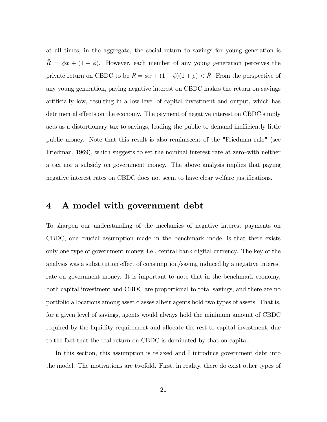at all times, in the aggregate, the social return to savings for young generation is  $\tilde{R} = \phi x + (1 - \phi)$ . However, each member of any young generation perceives the private return on CBDC to be  $R = \phi x + (1 - \phi)(1 + \rho) < \hat{R}$ . From the perspective of any young generation, paying negative interest on CBDC makes the return on savings artificially low, resulting in a low level of capital investment and output, which has detrimental effects on the economy. The payment of negative interest on CBDC simply acts as a distortionary tax to savings, leading the public to demand inefficiently little public money. Note that this result is also reminiscent of the "Friedman rule" (see Friedman, 1969), which suggests to set the nominal interest rate at zero–with neither a tax nor a subsidy on government money. The above analysis implies that paying negative interest rates on CBDC does not seem to have clear welfare justifications.

# 4 A model with government debt

To sharpen our understanding of the mechanics of negative interest payments on CBDC, one crucial assumption made in the benchmark model is that there exists only one type of government money, i.e., central bank digital currency. The key of the analysis was a substitution effect of consumption/saving induced by a negative interest rate on government money. It is important to note that in the benchmark economy, both capital investment and CBDC are proportional to total savings, and there are no portfolio allocations among asset classes albeit agents hold two types of assets. That is, for a given level of savings, agents would always hold the minimum amount of CBDC required by the liquidity requirement and allocate the rest to capital investment, due to the fact that the real return on CBDC is dominated by that on capital.

In this section, this assumption is relaxed and I introduce government debt into the model. The motivations are twofold. First, in reality, there do exist other types of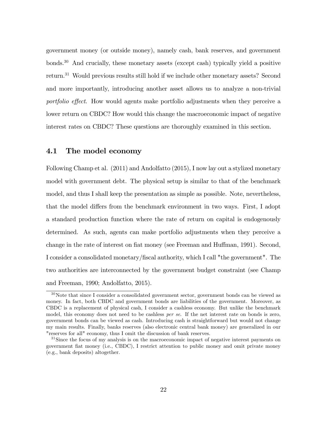government money (or outside money), namely cash, bank reserves, and government bonds.<sup>30</sup> And crucially, these monetary assets (except cash) typically yield a positive return.<sup>31</sup> Would previous results still hold if we include other monetary assets? Second and more importantly, introducing another asset allows us to analyze a non-trivial portfolio effect. How would agents make portfolio adjustments when they perceive a lower return on CBDC? How would this change the macroeconomic impact of negative interest rates on CBDC? These questions are thoroughly examined in this section.

## 4.1 The model economy

Following Champ et al. (2011) and Andolfatto (2015), I now lay out a stylized monetary model with government debt. The physical setup is similar to that of the benchmark model, and thus I shall keep the presentation as simple as possible. Note, nevertheless, that the model differs from the benchmark environment in two ways. First, I adopt a standard production function where the rate of return on capital is endogenously determined. As such, agents can make portfolio adjustments when they perceive a change in the rate of interest on fiat money (see Freeman and Huffman, 1991). Second, I consider a consolidated monetary/Öscal authority, which I call "the government". The two authorities are interconnected by the government budget constraint (see Champ and Freeman, 1990; Andolfatto, 2015).

<sup>30</sup>Note that since I consider a consolidated government sector, government bonds can be viewed as money. In fact, both CBDC and government bonds are liabilities of the government. Moreover, as CBDC is a replacement of physical cash, I consider a cashless economy. But unlike the benchmark model, this economy does not need to be cashless *per se*. If the net interest rate on bonds is zero, government bonds can be viewed as cash. Introducing cash is straightforward but would not change my main results. Finally, banks reserves (also electronic central bank money) are generalized in our "reserves for all" economy, thus I omit the discussion of bank reserves.

 $31$ Since the focus of my analysis is on the macroeconomic impact of negative interest payments on government Öat money (i.e., CBDC), I restrict attention to public money and omit private money (e.g., bank deposits) altogether.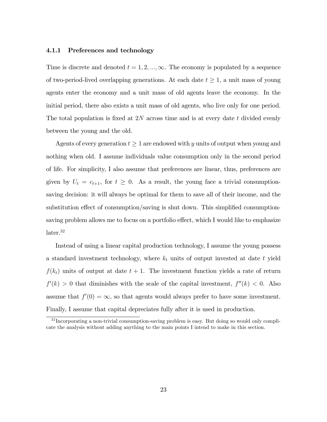#### 4.1.1 Preferences and technology

Time is discrete and denoted  $t = 1, 2, ..., \infty$ . The economy is populated by a sequence of two-period-lived overlapping generations. At each date  $t \geq 1$ , a unit mass of young agents enter the economy and a unit mass of old agents leave the economy. In the initial period, there also exists a unit mass of old agents, who live only for one period. The total population is fixed at  $2N$  across time and is at every date t divided evenly between the young and the old.

Agents of every generation  $t \geq 1$  are endowed with y units of output when young and nothing when old. I assume individuals value consumption only in the second period of life. For simplicity, I also assume that preferences are linear, thus, preferences are given by  $U_t = c_{t+1}$ , for  $t \geq 0$ . As a result, the young face a trivial consumptionsaving decision: it will always be optimal for them to save all of their income, and the substitution effect of consumption/saving is shut down. This simplified consumptionsaving problem allows me to focus on a portfolio effect, which I would like to emphasize later.<sup>32</sup>

Instead of using a linear capital production technology, I assume the young possess a standard investment technology, where  $k_t$  units of output invested at date t yield  $f(k_t)$  units of output at date  $t + 1$ . The investment function yields a rate of return  $f'(k) > 0$  that diminishes with the scale of the capital investment,  $f''(k) < 0$ . Also assume that  $f'(0) = \infty$ , so that agents would always prefer to have some investment. Finally, I assume that capital depreciates fully after it is used in production.

 $32$  Incorporating a non-trivial consumption-saving problem is easy. But doing so would only complicate the analysis without adding anything to the main points I intend to make in this section.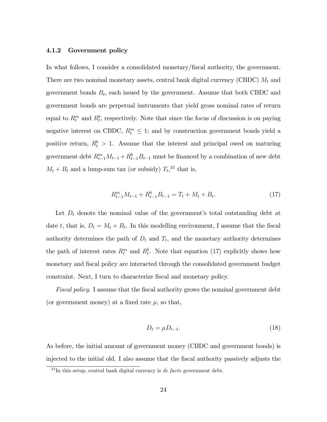#### 4.1.2 Government policy

In what follows, I consider a consolidated monetary/Öscal authority, the government. There are two nominal monetary assets, central bank digital currency (CBDC)  $M_t$  and government bonds  $B_t$ , each issued by the government. Assume that both CBDC and government bonds are perpetual instruments that yield gross nominal rates of return equal to  $R_t^m$  and  $R_t^b$ , respectively. Note that since the focus of discussion is on paying negative interest on CBDC,  $R_t^m \leq 1$ ; and by construction government bonds yield a positive return,  $R_t^b > 1$ . Assume that the interest and principal owed on maturing government debt  $R_{t-1}^m M_{t-1} + R_{t-1}^b B_{t-1}$  must be financed by a combination of new debt  $M_t + B_t$  and a lump-sum tax (or subsidy)  $T_t$ <sup>33</sup> that is,

$$
R_{t-1}^m M_{t-1} + R_{t-1}^b B_{t-1} = T_t + M_t + B_t.
$$
\n(17)

Let  $D_t$  denote the nominal value of the government's total outstanding debt at date t, that is,  $D_t = M_t + B_t$ . In this modelling environment, I assume that the fiscal authority determines the path of  $D_t$  and  $T_t$ , and the monetary authority determines the path of interest rates  $R_t^m$  and  $R_t^b$ . Note that equation (17) explicitly shows how monetary and fiscal policy are interacted through the consolidated government budget constraint. Next, I turn to characterize fiscal and monetary policy.

Fiscal policy. I assume that the fiscal authority grows the nominal government debt (or government money) at a fixed rate  $\mu$ , so that,

$$
D_t = \mu D_{t-1}.\tag{18}
$$

As before, the initial amount of government money (CBDC and government bonds) is injected to the initial old. I also assume that the Öscal authority passively adjusts the

 $33$ In this setup, central bank digital currency is de facto government debt.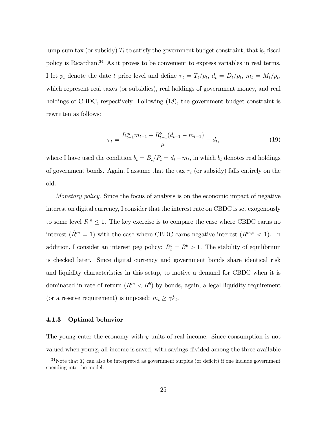lump-sum tax (or subsidy)  $T_t$  to satisfy the government budget constraint, that is, fiscal policy is Ricardian.<sup>34</sup> As it proves to be convenient to express variables in real terms, I let  $p_t$  denote the date t price level and define  $\tau_t = T_t/p_t$ ,  $d_t = D_t/p_t$ ,  $m_t = M_t/p_t$ , which represent real taxes (or subsidies), real holdings of government money, and real holdings of CBDC, respectively. Following  $(18)$ , the government budget constraint is rewritten as follows:

$$
\tau_t = \frac{R_{t-1}^m m_{t-1} + R_{t-1}^b (d_{t-1} - m_{t-1})}{\mu} - d_t,\tag{19}
$$

where I have used the condition  $b_t = B_t/P_t = d_t - m_t$ , in which  $b_t$  denotes real holdings of government bonds. Again, I assume that the tax  $\tau_t$  (or subsidy) falls entirely on the old.

Monetary policy. Since the focus of analysis is on the economic impact of negative interest on digital currency, I consider that the interest rate on CBDC is set exogenously to some level  $R^m \leq 1$ . The key exercise is to compare the case where CBDC earns no interest  $(\hat{R}^m = 1)$  with the case where CBDC earns negative interest  $(R^{m,*} < 1)$ . In addition, I consider an interest peg policy:  $R_t^b = R^b > 1$ . The stability of equilibrium is checked later. Since digital currency and government bonds share identical risk and liquidity characteristics in this setup, to motive a demand for CBDC when it is dominated in rate of return  $(R<sup>m</sup> < R<sup>b</sup>)$  by bonds, again, a legal liquidity requirement (or a reserve requirement) is imposed:  $m_t \geq \gamma k_t$ .

#### 4.1.3 Optimal behavior

The young enter the economy with  $y$  units of real income. Since consumption is not valued when young, all income is saved, with savings divided among the three available

<sup>&</sup>lt;sup>34</sup>Note that  $T_t$  can also be interpreted as government surplus (or deficit) if one include government spending into the model.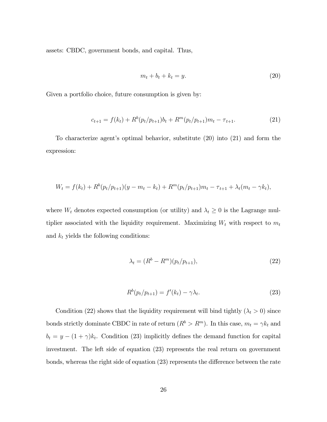assets: CBDC, government bonds, and capital. Thus,

$$
m_t + b_t + k_t = y. \tag{20}
$$

Given a portfolio choice, future consumption is given by:

$$
c_{t+1} = f(k_t) + R^b(p_t/p_{t+1})b_t + R^m(p_t/p_{t+1})m_t - \tau_{t+1}.
$$
\n(21)

To characterize agent's optimal behavior, substitute  $(20)$  into  $(21)$  and form the expression:

$$
W_t = f(k_t) + R^b(p_t/p_{t+1})(y - m_t - k_t) + R^m(p_t/p_{t+1})m_t - \tau_{t+1} + \lambda_t(m_t - \gamma k_t),
$$

where  $W_t$  denotes expected consumption (or utility) and  $\lambda_t \geq 0$  is the Lagrange multiplier associated with the liquidity requirement. Maximizing  $W_t$  with respect to  $m_t$ and  $k_t$  yields the following conditions:

$$
\lambda_t = (R^b - R^m)(p_t/p_{t+1}),
$$
\n(22)

$$
R^{b}(p_t/p_{t+1}) = f'(k_t) - \gamma \lambda_t.
$$
\n(23)

Condition (22) shows that the liquidity requirement will bind tightly ( $\lambda_t > 0$ ) since bonds strictly dominate CBDC in rate of return  $(R^b > R^m)$ . In this case,  $m_t = \gamma k_t$  and  $b_t = y - (1 + \gamma)k_t$ . Condition (23) implicitly defines the demand function for capital investment. The left side of equation (23) represents the real return on government bonds, whereas the right side of equation  $(23)$  represents the difference between the rate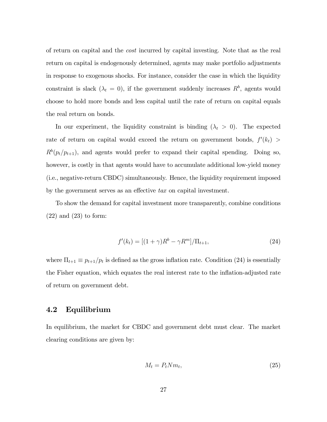of return on capital and the cost incurred by capital investing. Note that as the real return on capital is endogenously determined, agents may make portfolio adjustments in response to exogenous shocks. For instance, consider the case in which the liquidity constraint is slack  $(\lambda_t = 0)$ , if the government suddenly increases  $R^b$ , agents would choose to hold more bonds and less capital until the rate of return on capital equals the real return on bonds.

In our experiment, the liquidity constraint is binding  $(\lambda_t > 0)$ . The expected rate of return on capital would exceed the return on government bonds,  $f'(k_t)$  $R^b(p_t/p_{t+1}),$  and agents would prefer to expand their capital spending. Doing so, however, is costly in that agents would have to accumulate additional low-yield money (i.e., negative-return CBDC) simultaneously. Hence, the liquidity requirement imposed by the government serves as an effective  $tax$  on capital investment.

To show the demand for capital investment more transparently, combine conditions  $(22)$  and  $(23)$  to form:

$$
f'(k_t) = [(1+\gamma)R^b - \gamma R^m]/\Pi_{t+1},
$$
\n(24)

where  $\Pi_{t+1} \equiv p_{t+1}/p_t$  is defined as the gross inflation rate. Condition (24) is essentially the Fisher equation, which equates the real interest rate to the inflation-adjusted rate of return on government debt.

### 4.2 Equilibrium

In equilibrium, the market for CBDC and government debt must clear. The market clearing conditions are given by:

$$
M_t = P_t N m_t,\tag{25}
$$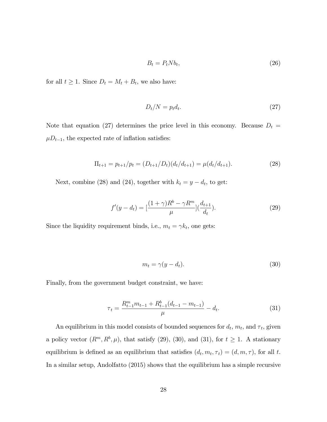$$
B_t = P_t N b_t,\tag{26}
$$

for all  $t \geq 1$ . Since  $D_t = M_t + B_t$ , we also have:

$$
D_t/N = p_t d_t. \t\t(27)
$$

Note that equation (27) determines the price level in this economy. Because  $D_t =$  $\mu D_{t-1}$ , the expected rate of inflation satisfies:

$$
\Pi_{t+1} = p_{t+1}/p_t = (D_{t+1}/D_t)(d_t/d_{t+1}) = \mu(d_t/d_{t+1}).
$$
\n(28)

Next, combine (28) and (24), together with  $k_t = y - d_t$ , to get:

$$
f'(y - d_t) = \left[\frac{(1 + \gamma)R^b - \gamma R^m}{\mu}\right] \left(\frac{d_{t+1}}{d_t}\right). \tag{29}
$$

Since the liquidity requirement binds, i.e.,  $m_t = \gamma k_t$ , one gets:

$$
m_t = \gamma(y - d_t). \tag{30}
$$

Finally, from the government budget constraint, we have:

$$
\tau_t = \frac{R_{t-1}^m m_{t-1} + R_{t-1}^b (d_{t-1} - m_{t-1})}{\mu} - d_t.
$$
\n(31)

An equilibrium in this model consists of bounded sequences for  $d_t$ ,  $m_t$ , and  $\tau_t$ , given a policy vector  $(R^m, R^b, \mu)$ , that satisfy (29), (30), and (31), for  $t \geq 1$ . A stationary equilibrium is defined as an equilibrium that satisfies  $(d_t, m_t, \tau_t) = (d, m, \tau)$ , for all t. In a similar setup, Andolfatto (2015) shows that the equilibrium has a simple recursive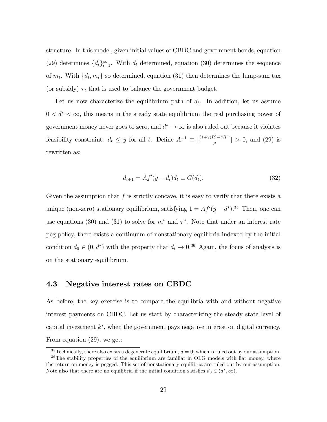structure. In this model, given initial values of CBDC and government bonds, equation (29) determines  $\{d_t\}_{t=1}^{\infty}$ . With  $d_t$  determined, equation (30) determines the sequence of  $m_t$ . With  $\{d_t, m_t\}$  so determined, equation (31) then determines the lump-sum tax (or subsidy)  $\tau_t$  that is used to balance the government budget.

Let us now characterize the equilibrium path of  $d_t$ . In addition, let us assume  $0 < d^* < \infty$ , this means in the steady state equilibrium the real purchasing power of government money never goes to zero, and  $d^* \to \infty$  is also ruled out because it violates feasibility constraint:  $d_t \leq y$  for all t. Define  $A^{-1} \equiv \left[\frac{(1+\gamma)R^b - \gamma R^m}{\mu}\right]$  $\left[\frac{e^{\alpha}-\gamma R^{m}}{\mu}\right] > 0$ , and (29) is rewritten as:

$$
d_{t+1} = Af'(y - d_t)d_t \equiv G(d_t).
$$
\n(32)

Given the assumption that  $f$  is strictly concave, it is easy to verify that there exists a unique (non-zero) stationary equilibrium, satisfying  $1 = Af'(y - d^*)$ .<sup>35</sup> Then, one can use equations (30) and (31) to solve for  $m^*$  and  $\tau^*$ . Note that under an interest rate peg policy, there exists a continuum of nonstationary equilibria indexed by the initial condition  $d_0 \in (0, d^*)$  with the property that  $d_t \to 0^{36}$  Again, the focus of analysis is on the stationary equilibrium.

### 4.3 Negative interest rates on CBDC

As before, the key exercise is to compare the equilibria with and without negative interest payments on CBDC. Let us start by characterizing the steady state level of capital investment  $k^*$ , when the government pays negative interest on digital currency. From equation (29), we get:

 $35$ Technically, there also exists a degenerate equilibrium,  $d = 0$ , which is ruled out by our assumption.  $36$ The stability properties of the equilibrium are familiar in OLG models with fiat money, where the return on money is pegged. This set of nonstationary equilibria are ruled out by our assumption. Note also that there are no equilibria if the initial condition satisfies  $d_0 \in (d^*, \infty)$ .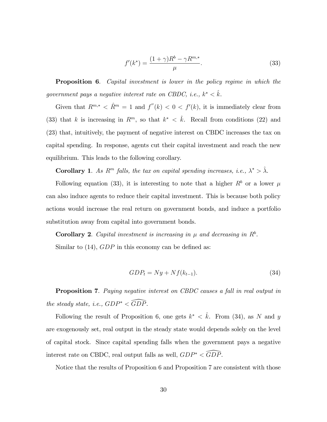$$
f'(k^*) = \frac{(1+\gamma)R^b - \gamma R^{m,*}}{\mu}.
$$
\n(33)

**Proposition 6.** Capital investment is lower in the policy regime in which the government pays a negative interest rate on CBDC, i.e.,  $k^* < \hat{k}$ .

Given that  $R^{m,*} < \hat{R}^m = 1$  and  $f''(k) < 0 < f'(k)$ , it is immediately clear from (33) that k is increasing in  $R^m$ , so that  $k^* < \hat{k}$ . Recall from conditions (22) and (23) that, intuitively, the payment of negative interest on CBDC increases the tax on capital spending. In response, agents cut their capital investment and reach the new equilibrium. This leads to the following corollary.

**Corollary 1.** As  $R^m$  falls, the tax on capital spending increases, i.e.,  $\lambda^* > \hat{\lambda}$ .

Following equation (33), it is interesting to note that a higher  $R^b$  or a lower  $\mu$ can also induce agents to reduce their capital investment. This is because both policy actions would increase the real return on government bonds, and induce a portfolio substitution away from capital into government bonds.

Corollary 2. Capital investment is increasing in  $\mu$  and decreasing in  $R<sup>b</sup>$ . Similar to  $(14)$ ,  $GDP$  in this economy can be defined as:

$$
GDP_t = Ny + Nf(k_{t-1}).
$$
\n(34)

**Proposition 7.** Paying negative interest on CBDC causes a fall in real output in the steady state, i.e.,  $GDP^* < \widehat{GDP}$ .

Following the result of Proposition 6, one gets  $k^* < \hat{k}$ . From (34), as N and y are exogenously set, real output in the steady state would depends solely on the level of capital stock. Since capital spending falls when the government pays a negative interest rate on CBDC, real output falls as well,  $GDP^* < \widehat{GDP}$ .

Notice that the results of Proposition 6 and Proposition 7 are consistent with those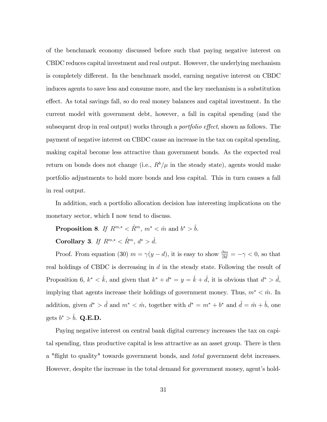of the benchmark economy discussed before such that paying negative interest on CBDC reduces capital investment and real output. However, the underlying mechanism is completely different. In the benchmark model, earning negative interest on CBDC induces agents to save less and consume more, and the key mechanism is a substitution effect. As total savings fall, so do real money balances and capital investment. In the current model with government debt, however, a fall in capital spending (and the subsequent drop in real output) works through a *portfolio effect*, shown as follows. The payment of negative interest on CBDC cause an increase in the tax on capital spending, making capital become less attractive than government bonds. As the expected real return on bonds does not change (i.e.,  $R^b/\mu$  in the steady state), agents would make portfolio adjustments to hold more bonds and less capital. This in turn causes a fall in real output.

In addition, such a portfolio allocation decision has interesting implications on the monetary sector, which I now tend to discuss.

**Proposition 8.** If  $R^{m,*} < \hat{R}^m$ ,  $m^* < \hat{m}$  and  $b^* > \hat{b}$ .

Corollary 3. If  $R^{m,*} < \hat{R}^m$ ,  $d^* > \hat{d}$ .

Proof. From equation (30)  $m = \gamma(y - d)$ , it is easy to show  $\frac{\partial m}{\partial d} = -\gamma < 0$ , so that real holdings of CBDC is decreasing in  $d$  in the steady state. Following the result of Proposition 6,  $k^* < \hat{k}$ , and given that  $k^* + d^* = y = \hat{k} + \hat{d}$ , it is obvious that  $d^* > \hat{d}$ , implying that agents increase their holdings of government money. Thus,  $m^* < \hat{m}$ . In addition, given  $d^* > \hat{d}$  and  $m^* < \hat{m}$ , together with  $d^* = m^* + b^*$  and  $\hat{d} = \hat{m} + \hat{b}$ , one gets  $b^* > \hat{b}$ . Q.E.D.

Paying negative interest on central bank digital currency increases the tax on capital spending, thus productive capital is less attractive as an asset group. There is then a "flight to quality" towards government bonds, and *total* government debt increases. However, despite the increase in the total demand for government money, agent's hold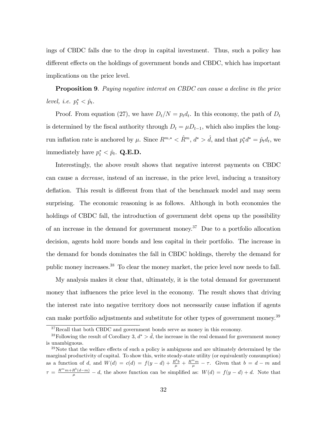ings of CBDC falls due to the drop in capital investment. Thus, such a policy has different effects on the holdings of government bonds and CBDC, which has important implications on the price level.

Proposition 9. Paying negative interest on CBDC can cause a decline in the price level, i.e.  $p_t^* < \hat{p}_t$ .

Proof. From equation (27), we have  $D_t/N = p_t d_t$ . In this economy, the path of  $D_t$ is determined by the fiscal authority through  $D_t = \mu D_{t-1}$ , which also implies the longrun inflation rate is anchored by  $\mu$ . Since  $R^{m,*} < \hat{R}^m$ ,  $d^* > \hat{d}$ , and that  $p_t^*d^* = \hat{p}_td_t$ , we immediately have  $p_t^* < \hat{p}_t$ . Q.E.D.

Interestingly, the above result shows that negative interest payments on CBDC can cause a decrease, instead of an increase, in the price level, inducing a transitory deflation. This result is different from that of the benchmark model and may seem surprising. The economic reasoning is as follows. Although in both economies the holdings of CBDC fall, the introduction of government debt opens up the possibility of an increase in the demand for government money.<sup>37</sup> Due to a portfolio allocation decision, agents hold more bonds and less capital in their portfolio. The increase in the demand for bonds dominates the fall in CBDC holdings, thereby the demand for public money increases.<sup>38</sup> To clear the money market, the price level now needs to fall.

My analysis makes it clear that, ultimately, it is the total demand for government money that influences the price level in the economy. The result shows that driving the interest rate into negative territory does not necessarily cause inflation if agents can make portfolio adjustments and substitute for other types of government money.<sup>39</sup>

<sup>37</sup>Recall that both CBDC and government bonds serve as money in this economy.

<sup>&</sup>lt;sup>38</sup>Following the result of Corollary 3,  $d^* > \hat{d}$ , the increase in the real demand for government money is unambiguous.

 $39$ Note that the welfare effects of such a policy is ambiguous and are ultimately determined by the marginal productivity of capital. To show this, write steady-state utility (or equivalently consumption) as a function of d, and  $W(d) = c(d) = f(y-d) + \frac{R^b b}{\mu} + \frac{R^m m}{\mu} - \tau$ . Given that  $b = d - m$  and  $\tau = \frac{R^m m + R^b(d-m)}{\mu} - d$ , the above function can be simplified as:  $W(d) = f(y - d) + d$ . Note that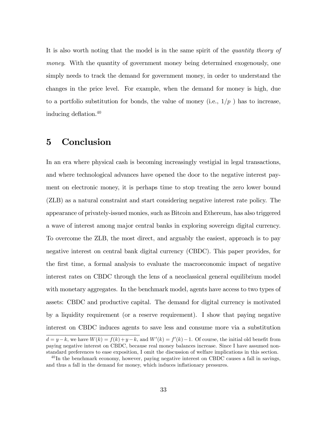It is also worth noting that the model is in the same spirit of the *quantity theory of* money. With the quantity of government money being determined exogenously, one simply needs to track the demand for government money, in order to understand the changes in the price level. For example, when the demand for money is high, due to a portfolio substitution for bonds, the value of money (i.e.,  $1/p$ ) has to increase, inducing deflation. $40$ 

# 5 Conclusion

In an era where physical cash is becoming increasingly vestigial in legal transactions, and where technological advances have opened the door to the negative interest payment on electronic money, it is perhaps time to stop treating the zero lower bound (ZLB) as a natural constraint and start considering negative interest rate policy. The appearance of privately-issued monies, such as Bitcoin and Ethereum, has also triggered a wave of interest among major central banks in exploring sovereign digital currency. To overcome the ZLB, the most direct, and arguably the easiest, approach is to pay negative interest on central bank digital currency (CBDC). This paper provides, for the Örst time, a formal analysis to evaluate the macroeconomic impact of negative interest rates on CBDC through the lens of a neoclassical general equilibrium model with monetary aggregates. In the benchmark model, agents have access to two types of assets: CBDC and productive capital. The demand for digital currency is motivated by a liquidity requirement (or a reserve requirement). I show that paying negative interest on CBDC induces agents to save less and consume more via a substitution  $d = y - k$ , we have  $W(k) = f(k) + y - k$ , and  $W'(k) = f'(k) - 1$ . Of course, the initial old benefit from paying negative interest on CBDC, because real money balances increase. Since I have assumed nonstandard preferences to ease exposition, I omit the discussion of welfare implications in this section.

 $^{40}$ In the benchmark economy, however, paying negative interest on CBDC causes a fall in savings, and thus a fall in the demand for money, which induces inflationary pressures.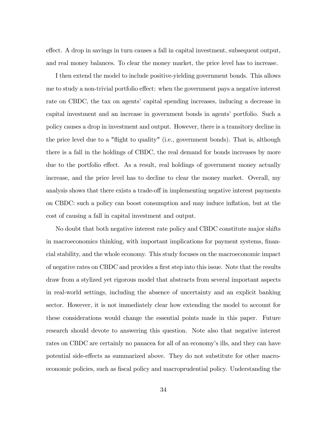effect. A drop in savings in turn causes a fall in capital investment, subsequent output, and real money balances. To clear the money market, the price level has to increase.

I then extend the model to include positive-yielding government bonds. This allows me to study a non-trivial portfolio effect: when the government pays a negative interest rate on CBDC, the tax on agents' capital spending increases, inducing a decrease in capital investment and an increase in government bonds in agents' portfolio. Such a policy causes a drop in investment and output. However, there is a transitory decline in the price level due to a "flight to quality" (i.e., government bonds). That is, although there is a fall in the holdings of CBDC, the real demand for bonds increases by more due to the portfolio effect. As a result, real holdings of government money actually increase, and the price level has to decline to clear the money market. Overall, my analysis shows that there exists a trade-off in implementing negative interest payments on CBDC: such a policy can boost consumption and may induce ináation, but at the cost of causing a fall in capital investment and output.

No doubt that both negative interest rate policy and CBDC constitute major shifts in macroeconomics thinking, with important implications for payment systems, financial stability, and the whole economy. This study focuses on the macroeconomic impact of negative rates on CBDC and provides a first step into this issue. Note that the results draw from a stylized yet rigorous model that abstracts from several important aspects in real-world settings, including the absence of uncertainty and an explicit banking sector. However, it is not immediately clear how extending the model to account for these considerations would change the essential points made in this paper. Future research should devote to answering this question. Note also that negative interest rates on CBDC are certainly no panacea for all of an economy's ills, and they can have potential side-effects as summarized above. They do not substitute for other macroeconomic policies, such as fiscal policy and macroprudential policy. Understanding the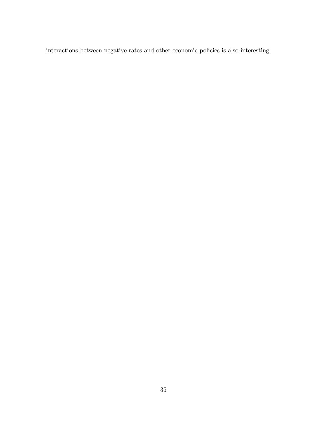interactions between negative rates and other economic policies is also interesting.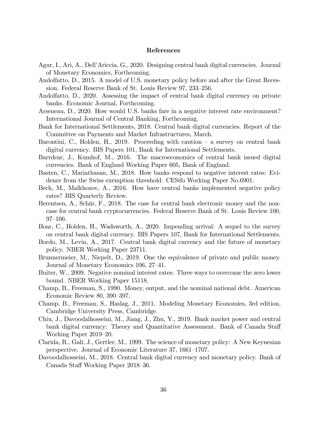#### References

- Agur, I., Ari, A., DellíAriccia, G., 2020. Designing central bank digital currencies. Journal of Monetary Economics, Forthcoming.
- Andolfatto, D., 2015. A model of U.S. monetary policy before and after the Great Recession. Federal Reserve Bank of St. Louis Review 97, 233–256.
- Andolfatto, D., 2020. Assessing the impact of central bank digital currency on private banks. Economic Journal, Forthcoming.
- Arseneau, D., 2020. How would U.S. banks fare in a negative interest rate environment? International Journal of Central Banking, Forthcoming.
- Bank for International Settlements, 2018. Central bank digital currencies. Report of the Committee on Payments and Market Infrastructures, March.
- Barontini, C., Holden, H., 2019. Proceeding with caution  $-$  a survey on central bank digital currency. BIS Papers 101, Bank for International Settlements.
- Barrdear, J., Kumhof, M., 2016. The macroeconomics of central bank issued digital currencies. Bank of England Working Paper 605, Bank of England.
- Basten, C., Mariathasan, M., 2018. How banks respond to negative interest rates: Evidence from the Swiss exemption threshold. CESifo Working Paper No.6901.
- Bech, M., Malkhozov, A., 2016. How have central banks implemented negative policy rates? BIS Quarterly Review.
- Berentsen, A., Schär, F., 2018. The case for central bank electronic money and the noncase for central bank cryptocurrencies. Federal Reserve Bank of St. Louis Review 100,  $97 - 106.$
- Boar, C., Holden, H., Wadsworth, A., 2020. Impending arrival: A sequel to the survey on central bank digital currency. BIS Papers 107, Bank for International Settlements.
- Bordo, M., Levin, A., 2017. Central bank digital currency and the future of monetary policy. NBER Working Paper 23711.
- Brunnermeier, M., Niepelt, D., 2019. One the equivalence of private and public money. Journal of Monetary Economics 106, 27–41.
- Buiter, W., 2009. Negative nominal interest rates: Three ways to overcome the zero lower bound. NBER Working Paper 15118.
- Champ, B., Freeman, S., 1990. Money, output, and the nominal national debt. American Economic Review 80, 390-397.
- Champ, B., Freeman, S., Haslag, J., 2011. Modeling Monetary Economies, 3rd edition, Cambridge University Press, Cambridge.
- Chiu, J., Davoodalhosseini, M., Jiang, J., Zhu, Y., 2019. Bank market power and central bank digital currency: Theory and Quantitative Assessment. Bank of Canada Staff Working Paper  $2019-20$ .
- Clarida, R., GalÌ, J., Gertler, M., 1999. The science of monetary policy: A New Keynesian perspective. Journal of Economic Literature 37, 1661–1707.
- Davoodalhosseini, M., 2018. Central bank digital currency and monetary policy. Bank of Canada Staff Working Paper 2018–36.